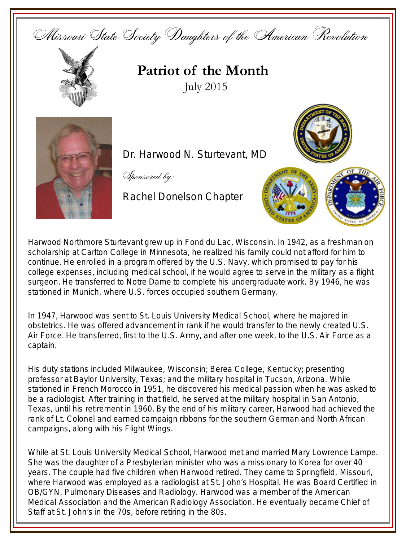



**Patriot of the Month** July 2015



Dr. Harwood N. Sturtevant, MD

Sponsored by:

Rachel Donelson Chapter





Harwood Northmore Sturtevant grew up in Fond du Lac, Wisconsin. In 1942, as a freshman on scholarship at Carlton College in Minnesota, he realized his family could not afford for him to continue. He enrolled in a program offered by the U.S. Navy, which promised to pay for his college expenses, including medical school, if he would agree to serve in the military as a flight surgeon. He transferred to Notre Dame to complete his undergraduate work. By 1946, he was stationed in Munich, where U.S. forces occupied southern Germany.

In 1947, Harwood was sent to St. Louis University Medical School, where he majored in obstetrics. He was offered advancement in rank if he would transfer to the newly created U.S. Air Force. He transferred, first to the U.S. Army, and after one week, to the U.S. Air Force as a captain.

His duty stations included Milwaukee, Wisconsin; Berea College, Kentucky; presenting professor at Baylor University, Texas; and the military hospital in Tucson, Arizona. While stationed in French Morocco in 1951, he discovered his medical passion when he was asked to be a radiologist. After training in that field, he served at the military hospital in San Antonio, Texas, until his retirement in 1960. By the end of his military career, Harwood had achieved the rank of Lt. Colonel and earned campaign ribbons for the southern German and North African campaigns, along with his Flight Wings.

While at St. Louis University Medical School, Harwood met and married Mary Lowrence Lampe. She was the daughter of a Presbyterian minister who was a missionary to Korea for over 40 years. The couple had five children when Harwood retired. They came to Springfield, Missouri, where Harwood was employed as a radiologist at St. John's Hospital. He was Board Certified in OB/GYN, Pulmonary Diseases and Radiology. Harwood was a member of the American Medical Association and the American Radiology Association. He eventually became Chief of Staff at St. John's in the 70s, before retiring in the 80s.